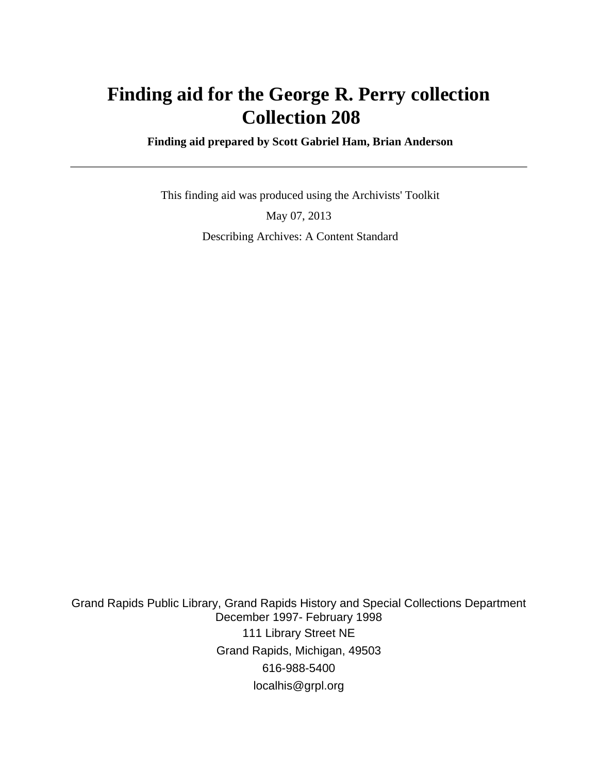# **Finding aid for the George R. Perry collection Collection 208**

 **Finding aid prepared by Scott Gabriel Ham, Brian Anderson**

 This finding aid was produced using the Archivists' Toolkit May 07, 2013 Describing Archives: A Content Standard

Grand Rapids Public Library, Grand Rapids History and Special Collections Department December 1997- February 1998 111 Library Street NE Grand Rapids, Michigan, 49503 616-988-5400 localhis@grpl.org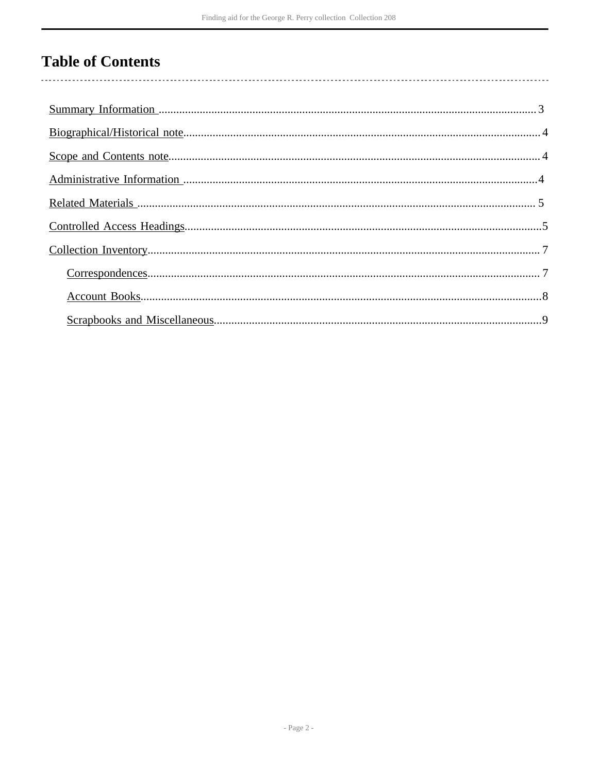# **Table of Contents**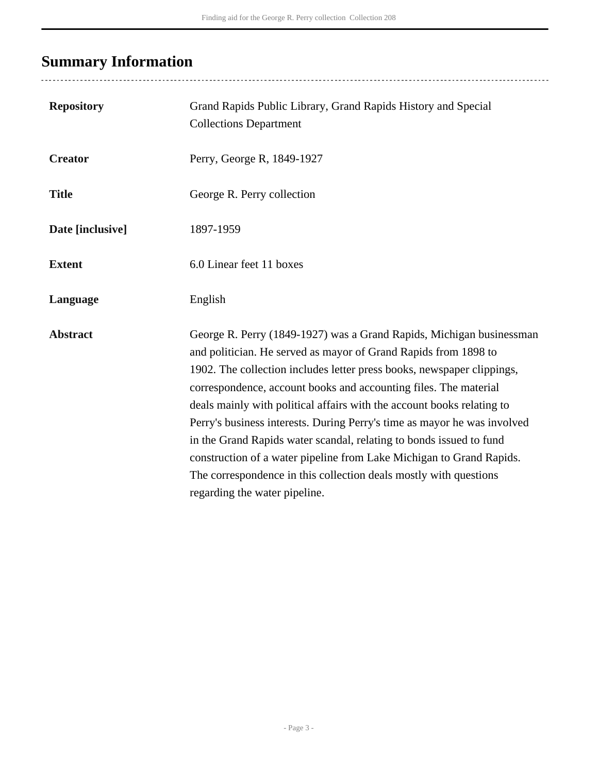# <span id="page-2-0"></span>**Summary Information**

| <b>Repository</b> | Grand Rapids Public Library, Grand Rapids History and Special<br><b>Collections Department</b>                                                                                                                                                                                                                                                                                                                                                                                                                                                                                                                                                                                                   |
|-------------------|--------------------------------------------------------------------------------------------------------------------------------------------------------------------------------------------------------------------------------------------------------------------------------------------------------------------------------------------------------------------------------------------------------------------------------------------------------------------------------------------------------------------------------------------------------------------------------------------------------------------------------------------------------------------------------------------------|
| <b>Creator</b>    | Perry, George R, 1849-1927                                                                                                                                                                                                                                                                                                                                                                                                                                                                                                                                                                                                                                                                       |
| <b>Title</b>      | George R. Perry collection                                                                                                                                                                                                                                                                                                                                                                                                                                                                                                                                                                                                                                                                       |
| Date [inclusive]  | 1897-1959                                                                                                                                                                                                                                                                                                                                                                                                                                                                                                                                                                                                                                                                                        |
| <b>Extent</b>     | 6.0 Linear feet 11 boxes                                                                                                                                                                                                                                                                                                                                                                                                                                                                                                                                                                                                                                                                         |
| Language          | English                                                                                                                                                                                                                                                                                                                                                                                                                                                                                                                                                                                                                                                                                          |
| <b>Abstract</b>   | George R. Perry (1849-1927) was a Grand Rapids, Michigan businessman<br>and politician. He served as mayor of Grand Rapids from 1898 to<br>1902. The collection includes letter press books, newspaper clippings,<br>correspondence, account books and accounting files. The material<br>deals mainly with political affairs with the account books relating to<br>Perry's business interests. During Perry's time as mayor he was involved<br>in the Grand Rapids water scandal, relating to bonds issued to fund<br>construction of a water pipeline from Lake Michigan to Grand Rapids.<br>The correspondence in this collection deals mostly with questions<br>regarding the water pipeline. |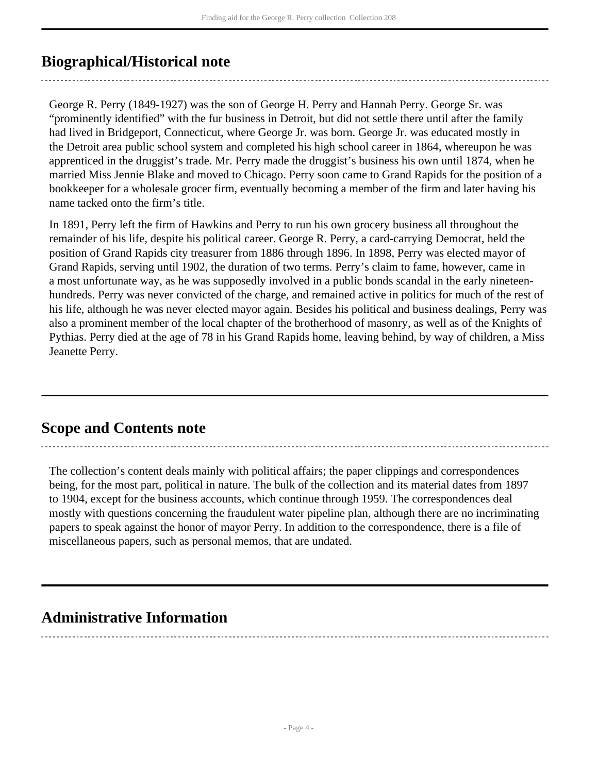## <span id="page-3-0"></span>**Biographical/Historical note**

George R. Perry (1849-1927) was the son of George H. Perry and Hannah Perry. George Sr. was "prominently identified" with the fur business in Detroit, but did not settle there until after the family had lived in Bridgeport, Connecticut, where George Jr. was born. George Jr. was educated mostly in the Detroit area public school system and completed his high school career in 1864, whereupon he was apprenticed in the druggist's trade. Mr. Perry made the druggist's business his own until 1874, when he married Miss Jennie Blake and moved to Chicago. Perry soon came to Grand Rapids for the position of a bookkeeper for a wholesale grocer firm, eventually becoming a member of the firm and later having his name tacked onto the firm's title.

In 1891, Perry left the firm of Hawkins and Perry to run his own grocery business all throughout the remainder of his life, despite his political career. George R. Perry, a card-carrying Democrat, held the position of Grand Rapids city treasurer from 1886 through 1896. In 1898, Perry was elected mayor of Grand Rapids, serving until 1902, the duration of two terms. Perry's claim to fame, however, came in a most unfortunate way, as he was supposedly involved in a public bonds scandal in the early nineteenhundreds. Perry was never convicted of the charge, and remained active in politics for much of the rest of his life, although he was never elected mayor again. Besides his political and business dealings, Perry was also a prominent member of the local chapter of the brotherhood of masonry, as well as of the Knights of Pythias. Perry died at the age of 78 in his Grand Rapids home, leaving behind, by way of children, a Miss Jeanette Perry.

## <span id="page-3-1"></span>**Scope and Contents note**

The collection's content deals mainly with political affairs; the paper clippings and correspondences being, for the most part, political in nature. The bulk of the collection and its material dates from 1897 to 1904, except for the business accounts, which continue through 1959. The correspondences deal mostly with questions concerning the fraudulent water pipeline plan, although there are no incriminating papers to speak against the honor of mayor Perry. In addition to the correspondence, there is a file of miscellaneous papers, such as personal memos, that are undated.

## <span id="page-3-2"></span>**Administrative Information**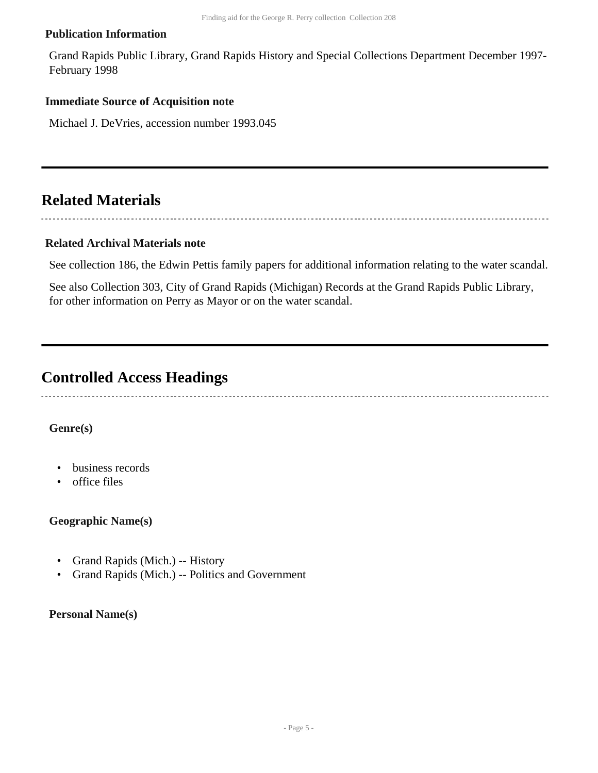#### **Publication Information**

Grand Rapids Public Library, Grand Rapids History and Special Collections Department December 1997- February 1998

#### **Immediate Source of Acquisition note**

Michael J. DeVries, accession number 1993.045

## <span id="page-4-0"></span>**Related Materials**

#### **Related Archival Materials note**

See collection 186, the Edwin Pettis family papers for additional information relating to the water scandal.

See also Collection 303, City of Grand Rapids (Michigan) Records at the Grand Rapids Public Library, for other information on Perry as Mayor or on the water scandal.

### <span id="page-4-1"></span>**Controlled Access Headings**

#### **Genre(s)**

- business records
- office files

#### **Geographic Name(s)**

- Grand Rapids (Mich.) -- History
- Grand Rapids (Mich.) -- Politics and Government

#### **Personal Name(s)**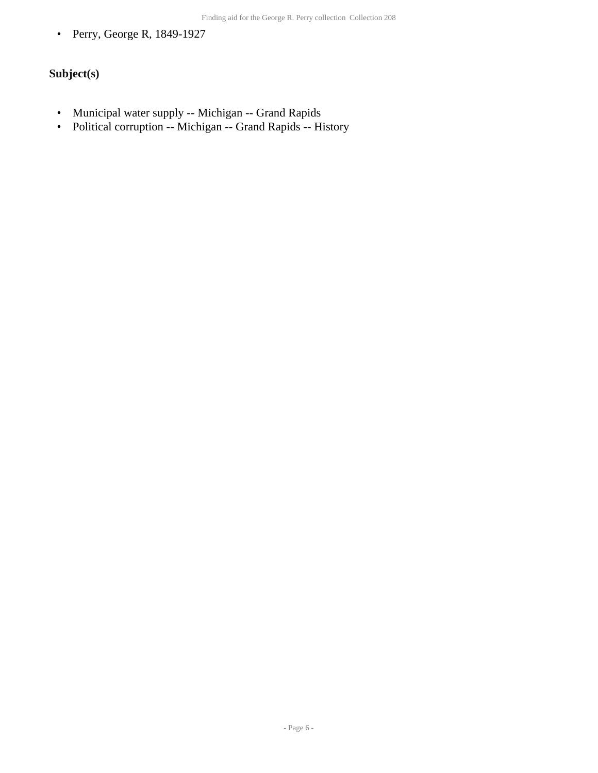• Perry, George R, 1849-1927

### **Subject(s)**

- Municipal water supply -- Michigan -- Grand Rapids
- Political corruption -- Michigan -- Grand Rapids -- History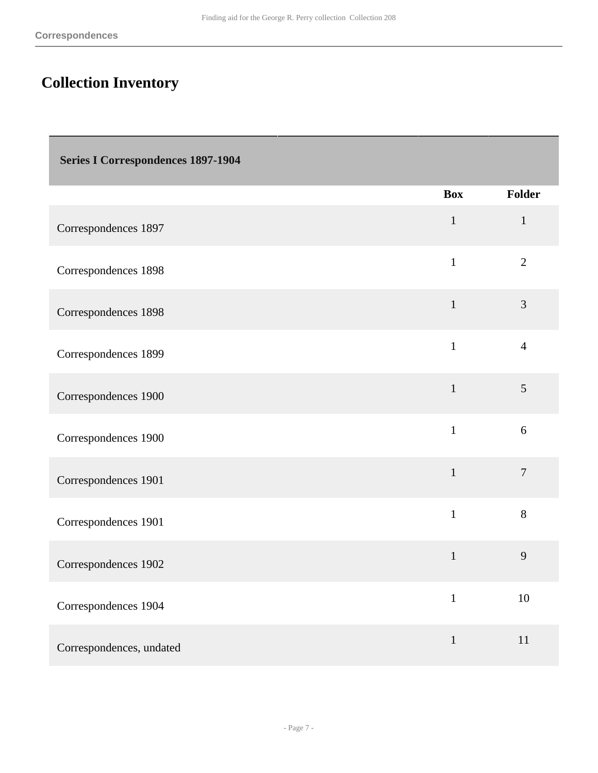# <span id="page-6-0"></span>**Collection Inventory**

<span id="page-6-1"></span>

| <b>Series I Correspondences 1897-1904</b> |              |                |
|-------------------------------------------|--------------|----------------|
|                                           | <b>Box</b>   | <b>Folder</b>  |
| Correspondences 1897                      | $\mathbf{1}$ | $\mathbf{1}$   |
| Correspondences 1898                      | $\mathbf{1}$ | $\overline{2}$ |
| Correspondences 1898                      | $\mathbf{1}$ | $\overline{3}$ |
| Correspondences 1899                      | $\mathbf{1}$ | $\overline{4}$ |
| Correspondences 1900                      | $\mathbf{1}$ | 5              |
| Correspondences 1900                      | $\mathbf{1}$ | 6              |
| Correspondences 1901                      | $\mathbf{1}$ | $\overline{7}$ |
| Correspondences 1901                      | $\mathbf{1}$ | 8              |
| Correspondences 1902                      | $\mathbf{1}$ | 9              |
| Correspondences 1904                      | $\mathbf{1}$ | 10             |
| Correspondences, undated                  | $\mathbf 1$  | 11             |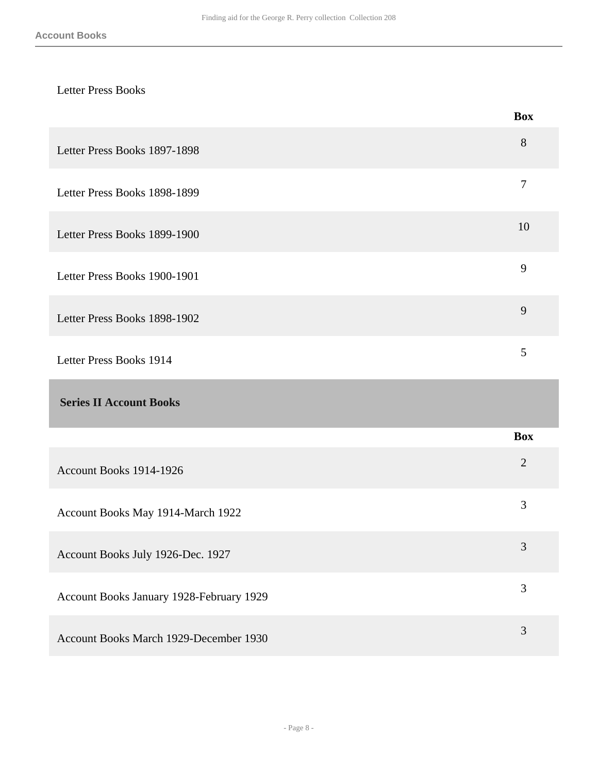### Letter Press Books

<span id="page-7-0"></span>

|                                          | <b>Box</b>       |
|------------------------------------------|------------------|
| Letter Press Books 1897-1898             | 8                |
| Letter Press Books 1898-1899             | $\boldsymbol{7}$ |
| Letter Press Books 1899-1900             | 10               |
| Letter Press Books 1900-1901             | 9                |
| Letter Press Books 1898-1902             | 9                |
| Letter Press Books 1914                  | 5                |
| <b>Series II Account Books</b>           |                  |
|                                          | <b>Box</b>       |
| Account Books 1914-1926                  | $\overline{2}$   |
| Account Books May 1914-March 1922        | 3                |
| Account Books July 1926-Dec. 1927        | 3                |
| Account Books January 1928-February 1929 | $\mathfrak{Z}$   |
| Account Books March 1929-December 1930   | $\mathfrak{Z}$   |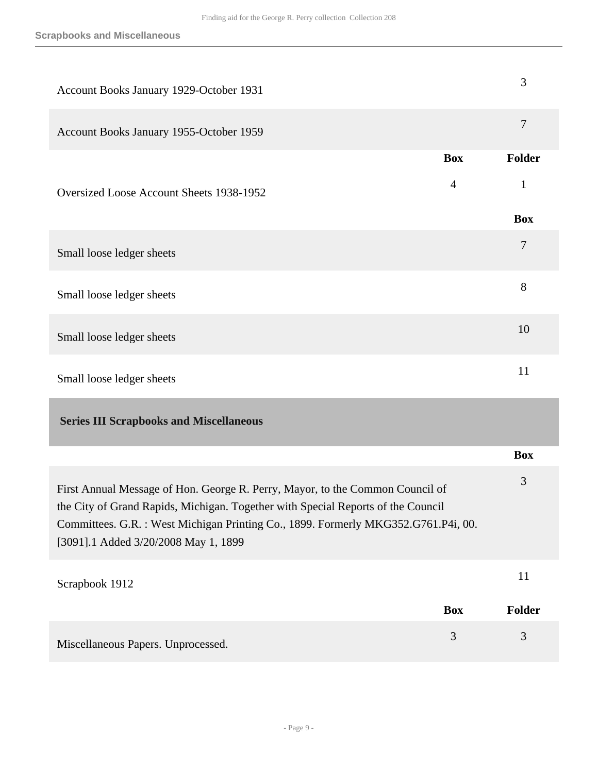<span id="page-8-0"></span>

| Account Books January 1929-October 1931                                                                                                                                                                                                                                                         |                | 3              |
|-------------------------------------------------------------------------------------------------------------------------------------------------------------------------------------------------------------------------------------------------------------------------------------------------|----------------|----------------|
| Account Books January 1955-October 1959                                                                                                                                                                                                                                                         |                | $\overline{7}$ |
|                                                                                                                                                                                                                                                                                                 | <b>Box</b>     | <b>Folder</b>  |
| Oversized Loose Account Sheets 1938-1952                                                                                                                                                                                                                                                        | 4              | 1              |
|                                                                                                                                                                                                                                                                                                 |                | <b>Box</b>     |
| Small loose ledger sheets                                                                                                                                                                                                                                                                       |                | $\tau$         |
| Small loose ledger sheets                                                                                                                                                                                                                                                                       |                | 8              |
| Small loose ledger sheets                                                                                                                                                                                                                                                                       |                | 10             |
| Small loose ledger sheets                                                                                                                                                                                                                                                                       |                | 11             |
| <b>Series III Scrapbooks and Miscellaneous</b>                                                                                                                                                                                                                                                  |                |                |
|                                                                                                                                                                                                                                                                                                 |                | <b>Box</b>     |
| First Annual Message of Hon. George R. Perry, Mayor, to the Common Council of<br>the City of Grand Rapids, Michigan. Together with Special Reports of the Council<br>Committees. G.R. : West Michigan Printing Co., 1899. Formerly MKG352.G761.P4i, 00.<br>[3091].1 Added 3/20/2008 May 1, 1899 |                | 3              |
| Scrapbook 1912                                                                                                                                                                                                                                                                                  |                | 11             |
|                                                                                                                                                                                                                                                                                                 | <b>Box</b>     | <b>Folder</b>  |
| Miscellaneous Papers. Unprocessed.                                                                                                                                                                                                                                                              | $\mathfrak{Z}$ | 3              |